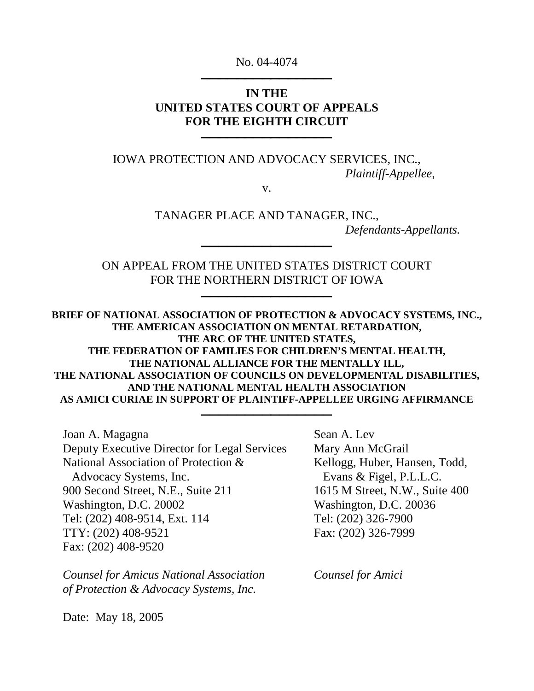No. 04-4074

### **IN THE UNITED STATES COURT OF APPEALS**  FOR THE EIGHTH CIRCUIT

IOWA PROTECTION AND ADVOCACY SERVICES, INC., *Plaintiff-Appellee*,

v.

TANAGER PLACE AND TANAGER, INC.,  $Defendants-Appellants.$ 

ON APPEAL FROM THE UNITED STATES DISTRICT COURT FOR THE NORTHERN DISTRICT OF IOWA

**BRIEF OF NATIONAL ASSOCIATION OF PROTECTION & ADVOCACY SYSTEMS, INC., THE AMERICAN ASSOCIATION ON MENTAL RETARDATION, THE ARC OF THE UNITED STATES, THE FEDERATION OF FAMILIES FOR CHILDREN'S MENTAL HEALTH, THE NATIONAL ALLIANCE FOR THE MENTALLY ILL, THE NATIONAL ASSOCIATION OF COUNCILS ON DEVELOPMENTAL DISABILITIES, AND THE NATIONAL MENTAL HEALTH ASSOCIATION AS AMICI CURIAE IN SUPPORT OF PLAINTIFF-APPELLEE URGING AFFIRMANCE \_\_\_\_\_\_\_\_\_\_\_\_\_\_\_** 

Joan A. Magagna Deputy Executive Director for Legal Services National Association of Protection & Advocacy Systems, Inc. 900 Second Street, N.E., Suite 211 Washington, D.C. 20002 Tel: (202) 408-9514, Ext. 114 TTY: (202) 408-9521 Fax: (202) 408-9520

*Counsel for Amicus National Association of Protection & Advocacy Systems, Inc.* 

Sean A. Lev Mary Ann McGrail Kellogg, Huber, Hansen, Todd, Evans & Figel, P.L.L.C. 1615 M Street, N.W., Suite 400 Washington, D.C. 20036 Tel: (202) 326-7900 Fax: (202) 326-7999

*Counsel for Amici* 

Date: May 18, 2005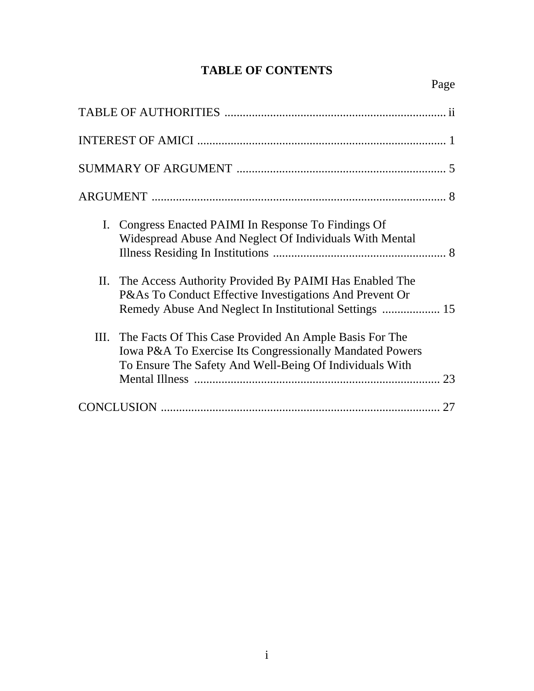# **TABLE OF CONTENTS**

| I. Congress Enacted PAIMI In Response To Findings Of<br>Widespread Abuse And Neglect Of Individuals With Mental                                                                               |
|-----------------------------------------------------------------------------------------------------------------------------------------------------------------------------------------------|
| II. The Access Authority Provided By PAIMI Has Enabled The<br>P&As To Conduct Effective Investigations And Prevent Or<br>Remedy Abuse And Neglect In Institutional Settings  15               |
| III. The Facts Of This Case Provided An Ample Basis For The<br><b>Iowa P&amp;A To Exercise Its Congressionally Mandated Powers</b><br>To Ensure The Safety And Well-Being Of Individuals With |
|                                                                                                                                                                                               |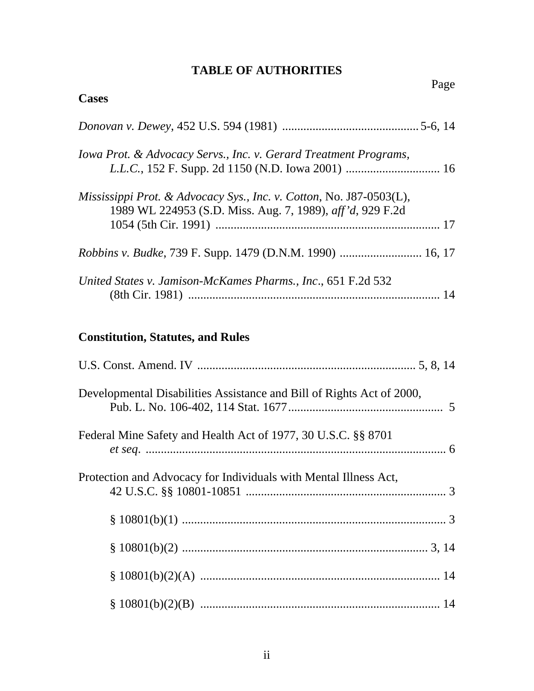## **TABLE OF AUTHORITIES**

| <b>Cases</b>                                                                                                                     | Page |
|----------------------------------------------------------------------------------------------------------------------------------|------|
|                                                                                                                                  |      |
| Iowa Prot. & Advocacy Servs., Inc. v. Gerard Treatment Programs,                                                                 |      |
| Mississippi Prot. & Advocacy Sys., Inc. v. Cotton, No. J87-0503(L),<br>1989 WL 224953 (S.D. Miss. Aug. 7, 1989), aff'd, 929 F.2d |      |
|                                                                                                                                  |      |
| United States v. Jamison-McKames Pharms., Inc., 651 F.2d 532                                                                     | 14   |

# **Constitution, Statutes, and Rules**

| Developmental Disabilities Assistance and Bill of Rights Act of 2000, |
|-----------------------------------------------------------------------|
| Federal Mine Safety and Health Act of 1977, 30 U.S.C. §§ 8701         |
| Protection and Advocacy for Individuals with Mental Illness Act,      |
|                                                                       |
|                                                                       |
|                                                                       |
|                                                                       |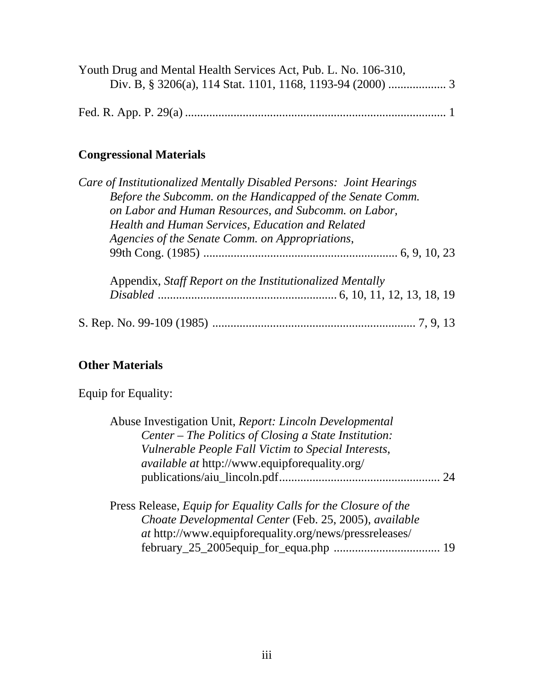| Youth Drug and Mental Health Services Act, Pub. L. No. 106-310, |  |
|-----------------------------------------------------------------|--|
|                                                                 |  |

|--|--|--|--|--|

# **Congressional Materials**

| Care of Institutionalized Mentally Disabled Persons: Joint Hearings |
|---------------------------------------------------------------------|
| Before the Subcomm. on the Handicapped of the Senate Comm.          |
| on Labor and Human Resources, and Subcomm. on Labor,                |
| Health and Human Services, Education and Related                    |
| Agencies of the Senate Comm. on Appropriations,                     |
|                                                                     |
| Appendix, Staff Report on the Institutionalized Mentally            |
|                                                                     |
|                                                                     |

# **Other Materials**

Equip for Equality:

| Abuse Investigation Unit, Report: Lincoln Developmental                                                                                                                                   |  |
|-------------------------------------------------------------------------------------------------------------------------------------------------------------------------------------------|--|
| Center – The Politics of Closing a State Institution:                                                                                                                                     |  |
| Vulnerable People Fall Victim to Special Interests,                                                                                                                                       |  |
| <i>available at http://www.equipforequality.org/</i>                                                                                                                                      |  |
|                                                                                                                                                                                           |  |
| Press Release, Equip for Equality Calls for the Closure of the<br>Choate Developmental Center (Feb. 25, 2005), available<br><i>at</i> http://www.equipforequality.org/news/pressreleases/ |  |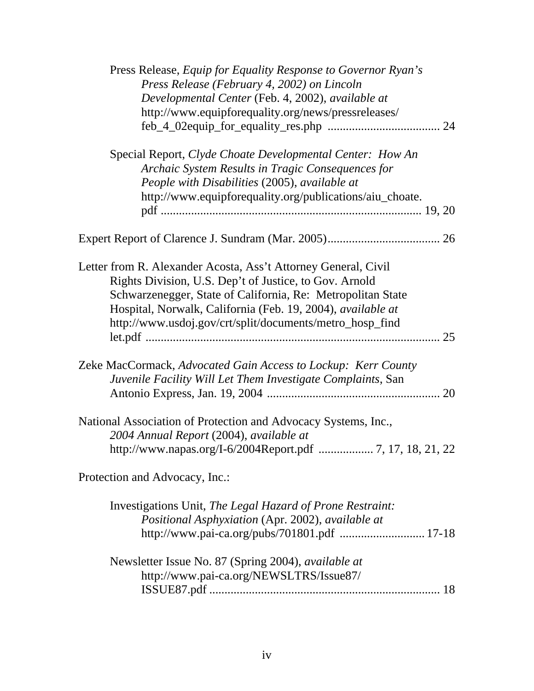| Press Release, Equip for Equality Response to Governor Ryan's<br>Press Release (February 4, 2002) on Lincoln<br>Developmental Center (Feb. 4, 2002), available at<br>http://www.equipforequality.org/news/pressreleases/                                                                                           |  |
|--------------------------------------------------------------------------------------------------------------------------------------------------------------------------------------------------------------------------------------------------------------------------------------------------------------------|--|
|                                                                                                                                                                                                                                                                                                                    |  |
| Special Report, Clyde Choate Developmental Center: How An<br>Archaic System Results in Tragic Consequences for<br>People with Disabilities (2005), available at<br>http://www.equipforequality.org/publications/aiu_choate.                                                                                        |  |
|                                                                                                                                                                                                                                                                                                                    |  |
| Letter from R. Alexander Acosta, Ass't Attorney General, Civil<br>Rights Division, U.S. Dep't of Justice, to Gov. Arnold<br>Schwarzenegger, State of California, Re: Metropolitan State<br>Hospital, Norwalk, California (Feb. 19, 2004), available at<br>http://www.usdoj.gov/crt/split/documents/metro_hosp_find |  |
| Zeke MacCormack, Advocated Gain Access to Lockup: Kerr County<br>Juvenile Facility Will Let Them Investigate Complaints, San                                                                                                                                                                                       |  |
| National Association of Protection and Advocacy Systems, Inc.,<br>2004 Annual Report (2004), available at<br>http://www.napas.org/I-6/2004Report.pdf  7, 17, 18, 21, 22                                                                                                                                            |  |
| Protection and Advocacy, Inc.:                                                                                                                                                                                                                                                                                     |  |
| Investigations Unit, The Legal Hazard of Prone Restraint:<br>Positional Asphyxiation (Apr. 2002), available at                                                                                                                                                                                                     |  |
| Newsletter Issue No. 87 (Spring 2004), available at<br>http://www.pai-ca.org/NEWSLTRS/Issue87/                                                                                                                                                                                                                     |  |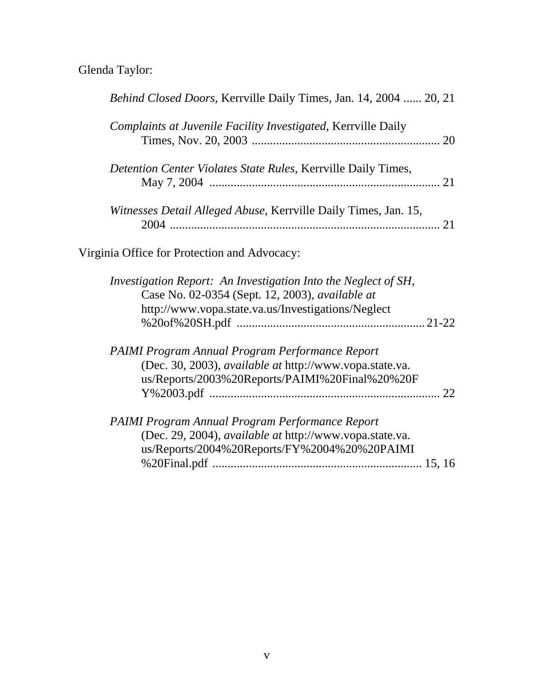# Glenda Taylor:

| Behind Closed Doors, Kerrville Daily Times, Jan. 14, 2004  20, 21                                                                                                        |  |
|--------------------------------------------------------------------------------------------------------------------------------------------------------------------------|--|
| Complaints at Juvenile Facility Investigated, Kerrville Daily                                                                                                            |  |
| Detention Center Violates State Rules, Kerrville Daily Times,                                                                                                            |  |
| Witnesses Detail Alleged Abuse, Kerrville Daily Times, Jan. 15,                                                                                                          |  |
| Virginia Office for Protection and Advocacy:                                                                                                                             |  |
| Investigation Report: An Investigation Into the Neglect of SH,<br>Case No. 02-0354 (Sept. 12, 2003), available at<br>http://www.vopa.state.va.us/Investigations/Neglect  |  |
| PAIMI Program Annual Program Performance Report<br>(Dec. 30, 2003), available at http://www.vopa.state.va.<br>us/Reports/2003%20Reports/PAIMI%20Final%20%20F             |  |
| <b>PAIMI Program Annual Program Performance Report</b><br>(Dec. 29, 2004), <i>available at http://www.vopa.state.va.</i><br>us/Reports/2004%20Reports/FY%2004%20%20PAIMI |  |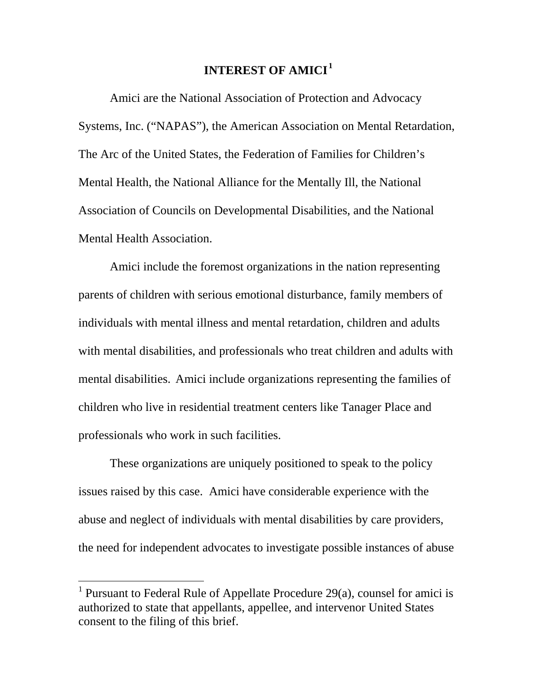### **INTEREST OF AMICI <sup>1</sup>**

Amici are the National Association of Protection and Advocacy Systems, Inc. ("NAPAS"), the American Association on Mental Retardation, The Arc of the United States, the Federation of Families for Children's Mental Health, the National Alliance for the Mentally Ill, the National Association of Councils on Developmental Disabilities, and the National Mental Health Association.

Amici include the foremost organizations in the nation representing parents of children with serious emotional disturbance, family members of individuals with mental illness and mental retardation, children and adults with mental disabilities, and professionals who treat children and adults with mental disabilities. Amici include organizations representing the families of children who live in residential treatment centers like Tanager Place and professionals who work in such facilities.

These organizations are uniquely positioned to speak to the policy issues raised by this case. Amici have considerable experience with the abuse and neglect of individuals with mental disabilities by care providers, the need for independent advocates to investigate possible instances of abuse

 $\overline{a}$ 

<sup>&</sup>lt;sup>1</sup> Pursuant to Federal Rule of Appellate Procedure 29(a), counsel for amici is authorized to state that appellants, appellee, and intervenor United States consent to the filing of this brief.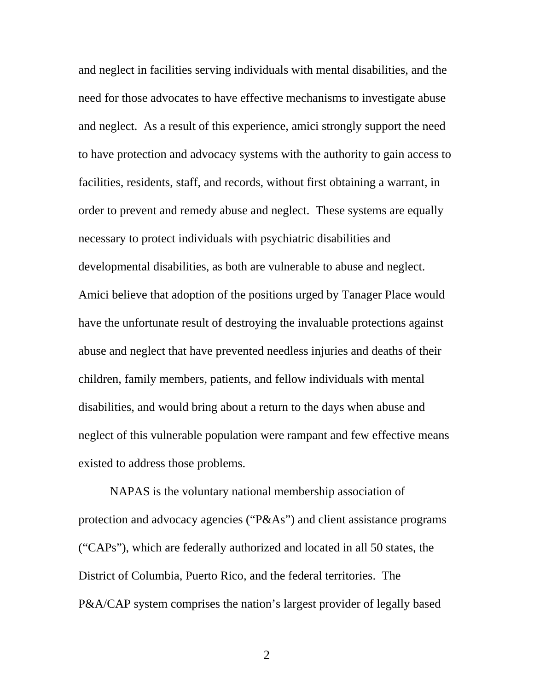and neglect in facilities serving individuals with mental disabilities, and the need for those advocates to have effective mechanisms to investigate abuse and neglect. As a result of this experience, amici strongly support the need to have protection and advocacy systems with the authority to gain access to facilities, residents, staff, and records, without first obtaining a warrant, in order to prevent and remedy abuse and neglect. These systems are equally necessary to protect individuals with psychiatric disabilities and developmental disabilities, as both are vulnerable to abuse and neglect. Amici believe that adoption of the positions urged by Tanager Place would have the unfortunate result of destroying the invaluable protections against abuse and neglect that have prevented needless injuries and deaths of their children, family members, patients, and fellow individuals with mental disabilities, and would bring about a return to the days when abuse and neglect of this vulnerable population were rampant and few effective means existed to address those problems.

 NAPAS is the voluntary national membership association of protection and advocacy agencies ("P&As") and client assistance programs ("CAPs"), which are federally authorized and located in all 50 states, the District of Columbia, Puerto Rico, and the federal territories. The P&A/CAP system comprises the nation's largest provider of legally based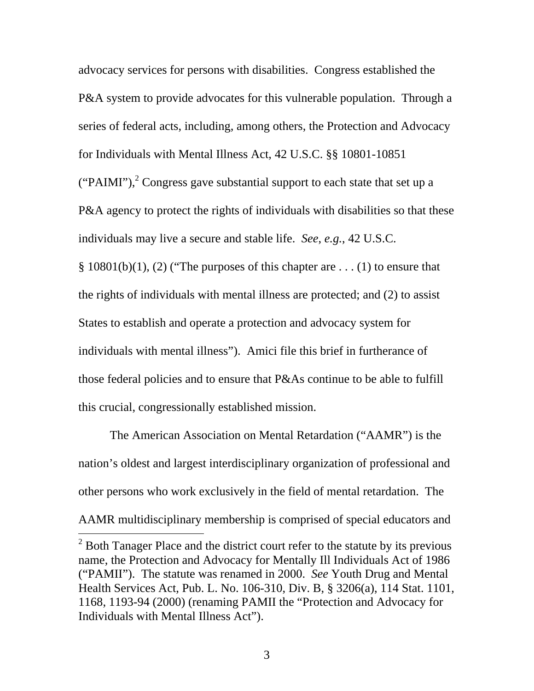advocacy services for persons with disabilities. Congress established the P&A system to provide advocates for this vulnerable population. Through a series of federal acts, including, among others, the Protection and Advocacy for Individuals with Mental Illness Act, 42 U.S.C. §§ 10801-10851 ("PAIMI"),<sup>2</sup> Congress gave substantial support to each state that set up a P&A agency to protect the rights of individuals with disabilities so that these individuals may live a secure and stable life. *See*, *e.g.*, 42 U.S.C.  $\S$  10801(b)(1), (2) ("The purposes of this chapter are ... (1) to ensure that the rights of individuals with mental illness are protected; and (2) to assist States to establish and operate a protection and advocacy system for individuals with mental illness"). Amici file this brief in furtherance of those federal policies and to ensure that P&As continue to be able to fulfill this crucial, congressionally established mission.

The American Association on Mental Retardation ("AAMR") is the nation's oldest and largest interdisciplinary organization of professional and other persons who work exclusively in the field of mental retardation. The AAMR multidisciplinary membership is comprised of special educators and

 $\overline{a}$ 

 $2^{2}$  Both Tanager Place and the district court refer to the statute by its previous name, the Protection and Advocacy for Mentally Ill Individuals Act of 1986 ("PAMII"). The statute was renamed in 2000. *See* Youth Drug and Mental Health Services Act, Pub. L. No. 106-310, Div. B, § 3206(a), 114 Stat. 1101, 1168, 1193-94 (2000) (renaming PAMII the "Protection and Advocacy for Individuals with Mental Illness Act").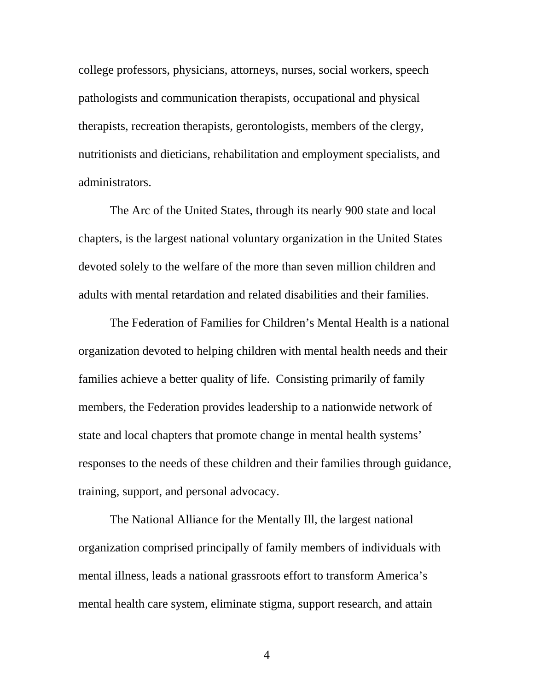college professors, physicians, attorneys, nurses, social workers, speech pathologists and communication therapists, occupational and physical therapists, recreation therapists, gerontologists, members of the clergy, nutritionists and dieticians, rehabilitation and employment specialists, and administrators.

 The Arc of the United States, through its nearly 900 state and local chapters, is the largest national voluntary organization in the United States devoted solely to the welfare of the more than seven million children and adults with mental retardation and related disabilities and their families.

The Federation of Families for Children's Mental Health is a national organization devoted to helping children with mental health needs and their families achieve a better quality of life. Consisting primarily of family members, the Federation provides leadership to a nationwide network of state and local chapters that promote change in mental health systems' responses to the needs of these children and their families through guidance, training, support, and personal advocacy.

 The National Alliance for the Mentally Ill, the largest national organization comprised principally of family members of individuals with mental illness, leads a national grassroots effort to transform America's mental health care system, eliminate stigma, support research, and attain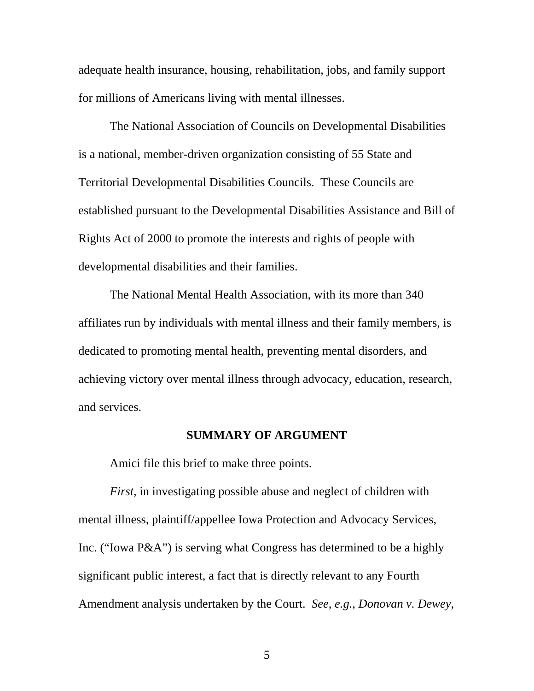adequate health insurance, housing, rehabilitation, jobs, and family support for millions of Americans living with mental illnesses.

 The National Association of Councils on Developmental Disabilities is a national, member-driven organization consisting of 55 State and Territorial Developmental Disabilities Councils. These Councils are established pursuant to the Developmental Disabilities Assistance and Bill of Rights Act of 2000 to promote the interests and rights of people with developmental disabilities and their families.

 The National Mental Health Association, with its more than 340 affiliates run by individuals with mental illness and their family members, is dedicated to promoting mental health, preventing mental disorders, and achieving victory over mental illness through advocacy, education, research, and services.

#### **SUMMARY OF ARGUMENT**

Amici file this brief to make three points.

*First*, in investigating possible abuse and neglect of children with mental illness, plaintiff/appellee Iowa Protection and Advocacy Services, Inc. ("Iowa P&A") is serving what Congress has determined to be a highly significant public interest, a fact that is directly relevant to any Fourth Amendment analysis undertaken by the Court. *See*, *e.g.*, *Donovan v. Dewey*,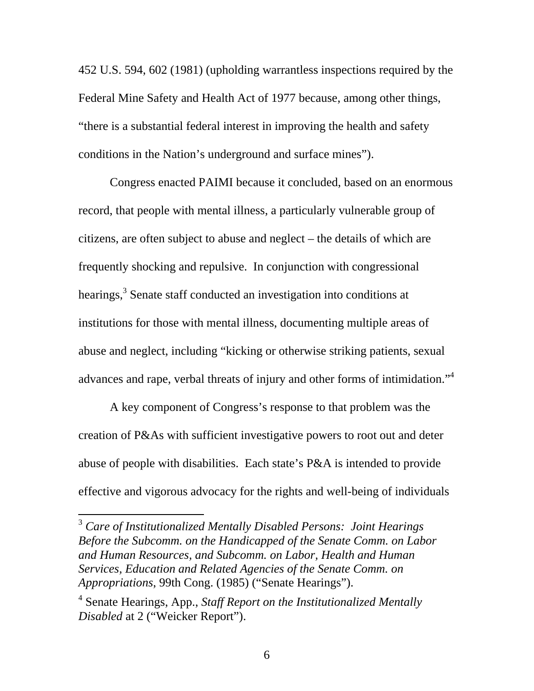452 U.S. 594, 602 (1981) (upholding warrantless inspections required by the Federal Mine Safety and Health Act of 1977 because, among other things, "there is a substantial federal interest in improving the health and safety conditions in the Nation's underground and surface mines").

Congress enacted PAIMI because it concluded, based on an enormous record, that people with mental illness, a particularly vulnerable group of citizens, are often subject to abuse and neglect – the details of which are frequently shocking and repulsive. In conjunction with congressional hearings,<sup>3</sup> Senate staff conducted an investigation into conditions at institutions for those with mental illness, documenting multiple areas of abuse and neglect, including "kicking or otherwise striking patients, sexual advances and rape, verbal threats of injury and other forms of intimidation."<sup>4</sup>

A key component of Congress's response to that problem was the creation of P&As with sufficient investigative powers to root out and deter abuse of people with disabilities. Each state's P&A is intended to provide effective and vigorous advocacy for the rights and well-being of individuals

<sup>3</sup> *Care of Institutionalized Mentally Disabled Persons: Joint Hearings Before the Subcomm. on the Handicapped of the Senate Comm. on Labor and Human Resources, and Subcomm. on Labor, Health and Human Services, Education and Related Agencies of the Senate Comm. on Appropriations*, 99th Cong. (1985) ("Senate Hearings").

 $\overline{a}$ 

<sup>4</sup> Senate Hearings, App., *Staff Report on the Institutionalized Mentally Disabled* at 2 ("Weicker Report").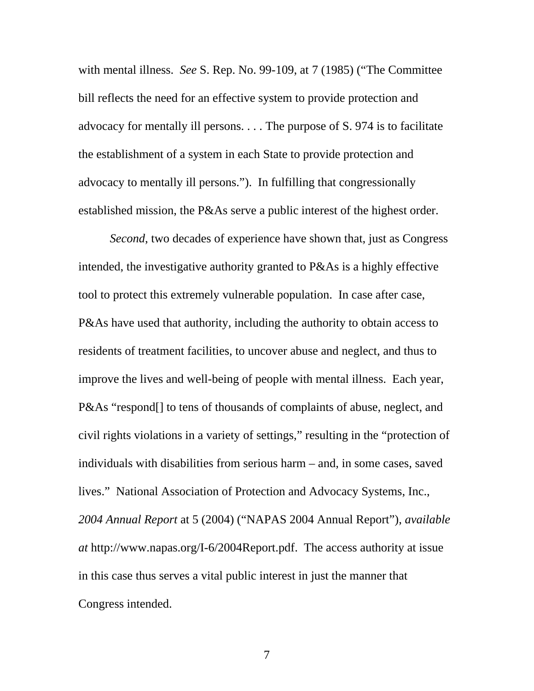with mental illness. *See* S. Rep. No. 99-109, at 7 (1985) ("The Committee bill reflects the need for an effective system to provide protection and advocacy for mentally ill persons. . . . The purpose of S. 974 is to facilitate the establishment of a system in each State to provide protection and advocacy to mentally ill persons."). In fulfilling that congressionally established mission, the P&As serve a public interest of the highest order.

*Second*, two decades of experience have shown that, just as Congress intended, the investigative authority granted to P&As is a highly effective tool to protect this extremely vulnerable population. In case after case, P&As have used that authority, including the authority to obtain access to residents of treatment facilities, to uncover abuse and neglect, and thus to improve the lives and well-being of people with mental illness. Each year, P&As "respond[] to tens of thousands of complaints of abuse, neglect, and civil rights violations in a variety of settings," resulting in the "protection of individuals with disabilities from serious harm – and, in some cases, saved lives." National Association of Protection and Advocacy Systems, Inc., *2004 Annual Report* at 5 (2004) ("NAPAS 2004 Annual Report"), *available at* http://www.napas.org/I-6/2004Report.pdf. The access authority at issue in this case thus serves a vital public interest in just the manner that Congress intended.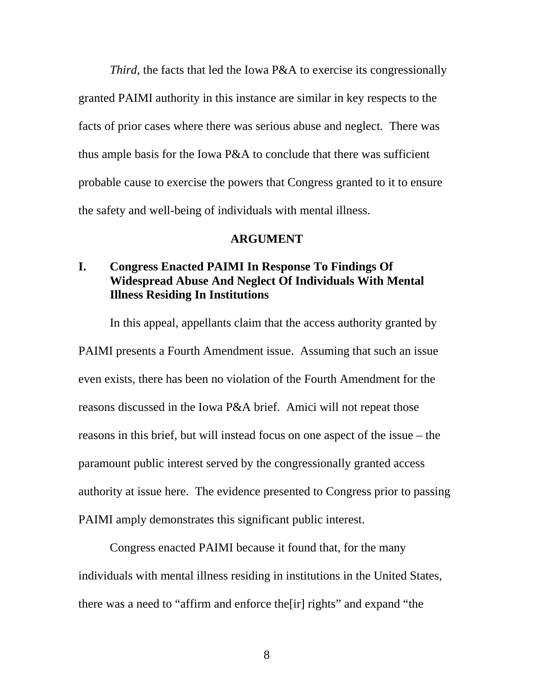*Third*, the facts that led the Iowa P&A to exercise its congressionally granted PAIMI authority in this instance are similar in key respects to the facts of prior cases where there was serious abuse and neglect. There was thus ample basis for the Iowa P&A to conclude that there was sufficient probable cause to exercise the powers that Congress granted to it to ensure the safety and well-being of individuals with mental illness.

#### **ARGUMENT**

## **I. Congress Enacted PAIMI In Response To Findings Of Widespread Abuse And Neglect Of Individuals With Mental Illness Residing In Institutions**

In this appeal, appellants claim that the access authority granted by PAIMI presents a Fourth Amendment issue. Assuming that such an issue even exists, there has been no violation of the Fourth Amendment for the reasons discussed in the Iowa P&A brief. Amici will not repeat those reasons in this brief, but will instead focus on one aspect of the issue – the paramount public interest served by the congressionally granted access authority at issue here. The evidence presented to Congress prior to passing PAIMI amply demonstrates this significant public interest.

Congress enacted PAIMI because it found that, for the many individuals with mental illness residing in institutions in the United States, there was a need to "affirm and enforce the[ir] rights" and expand "the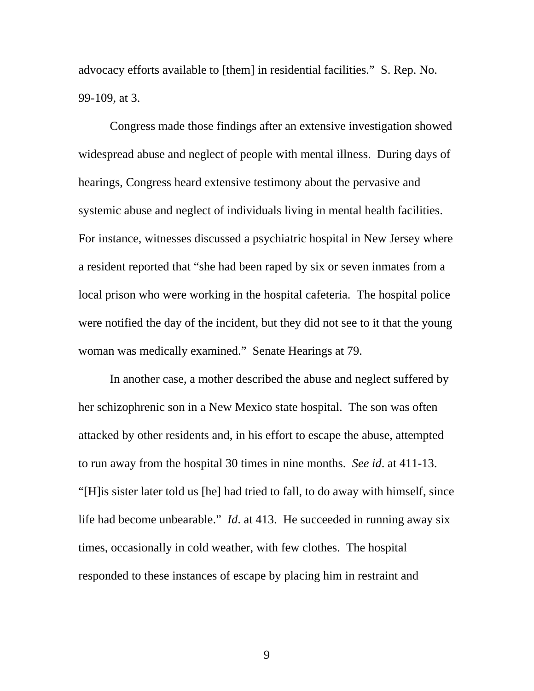advocacy efforts available to [them] in residential facilities." S. Rep. No. 99-109, at 3.

Congress made those findings after an extensive investigation showed widespread abuse and neglect of people with mental illness. During days of hearings, Congress heard extensive testimony about the pervasive and systemic abuse and neglect of individuals living in mental health facilities. For instance, witnesses discussed a psychiatric hospital in New Jersey where a resident reported that "she had been raped by six or seven inmates from a local prison who were working in the hospital cafeteria. The hospital police were notified the day of the incident, but they did not see to it that the young woman was medically examined." Senate Hearings at 79.

In another case, a mother described the abuse and neglect suffered by her schizophrenic son in a New Mexico state hospital. The son was often attacked by other residents and, in his effort to escape the abuse, attempted to run away from the hospital 30 times in nine months. *See id*. at 411-13. "[H]is sister later told us [he] had tried to fall, to do away with himself, since life had become unbearable." *Id*. at 413. He succeeded in running away six times, occasionally in cold weather, with few clothes. The hospital responded to these instances of escape by placing him in restraint and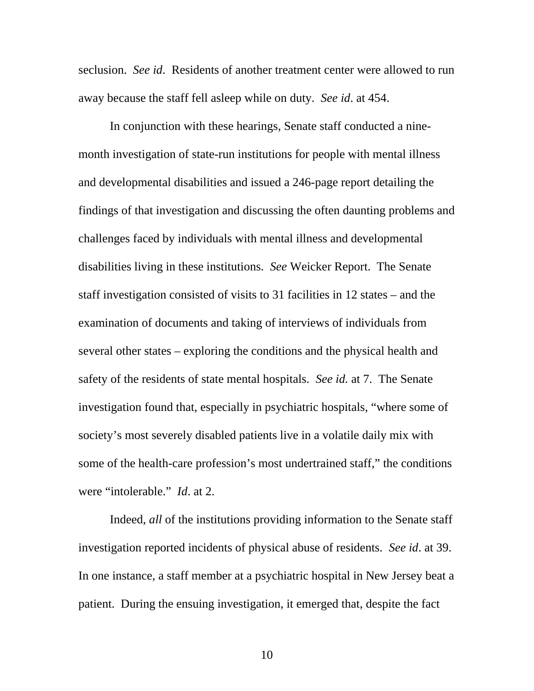seclusion. *See id*. Residents of another treatment center were allowed to run away because the staff fell asleep while on duty. *See id*. at 454.

In conjunction with these hearings, Senate staff conducted a ninemonth investigation of state-run institutions for people with mental illness and developmental disabilities and issued a 246-page report detailing the findings of that investigation and discussing the often daunting problems and challenges faced by individuals with mental illness and developmental disabilities living in these institutions. *See* Weicker Report. The Senate staff investigation consisted of visits to 31 facilities in 12 states – and the examination of documents and taking of interviews of individuals from several other states – exploring the conditions and the physical health and safety of the residents of state mental hospitals. *See id.* at 7. The Senate investigation found that, especially in psychiatric hospitals, "where some of society's most severely disabled patients live in a volatile daily mix with some of the health-care profession's most undertrained staff," the conditions were "intolerable." *Id*. at 2.

 Indeed, *all* of the institutions providing information to the Senate staff investigation reported incidents of physical abuse of residents. *See id*. at 39. In one instance, a staff member at a psychiatric hospital in New Jersey beat a patient. During the ensuing investigation, it emerged that, despite the fact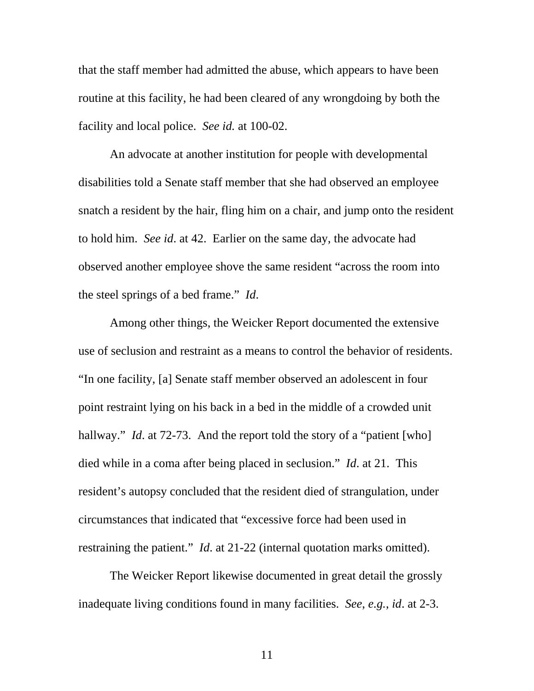that the staff member had admitted the abuse, which appears to have been routine at this facility, he had been cleared of any wrongdoing by both the facility and local police. *See id.* at 100-02.

An advocate at another institution for people with developmental disabilities told a Senate staff member that she had observed an employee snatch a resident by the hair, fling him on a chair, and jump onto the resident to hold him. *See id*. at 42. Earlier on the same day, the advocate had observed another employee shove the same resident "across the room into the steel springs of a bed frame." *Id*.

Among other things, the Weicker Report documented the extensive use of seclusion and restraint as a means to control the behavior of residents. "In one facility, [a] Senate staff member observed an adolescent in four point restraint lying on his back in a bed in the middle of a crowded unit hallway." *Id.* at 72-73. And the report told the story of a "patient [who] died while in a coma after being placed in seclusion." *Id*. at 21. This resident's autopsy concluded that the resident died of strangulation, under circumstances that indicated that "excessive force had been used in restraining the patient." *Id*. at 21-22 (internal quotation marks omitted).

The Weicker Report likewise documented in great detail the grossly inadequate living conditions found in many facilities. *See*, *e.g.*, *id*. at 2-3.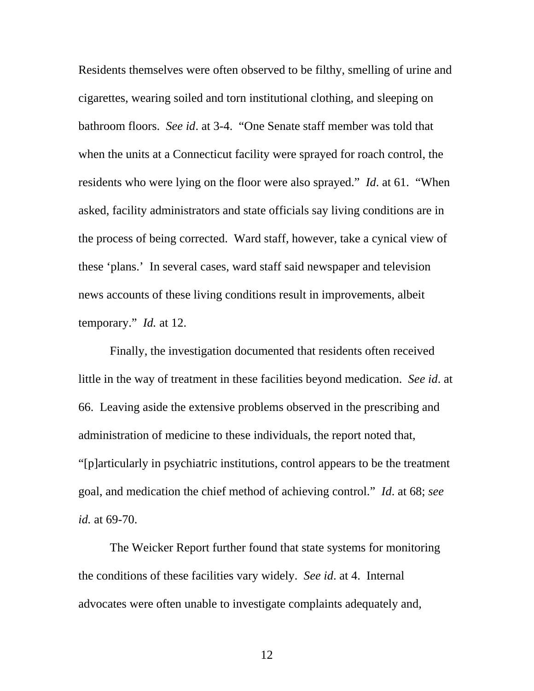Residents themselves were often observed to be filthy, smelling of urine and cigarettes, wearing soiled and torn institutional clothing, and sleeping on bathroom floors. *See id*. at 3-4. "One Senate staff member was told that when the units at a Connecticut facility were sprayed for roach control, the residents who were lying on the floor were also sprayed." *Id*. at 61. "When asked, facility administrators and state officials say living conditions are in the process of being corrected. Ward staff, however, take a cynical view of these 'plans.' In several cases, ward staff said newspaper and television news accounts of these living conditions result in improvements, albeit temporary." *Id.* at 12.

Finally, the investigation documented that residents often received little in the way of treatment in these facilities beyond medication. *See id*. at 66. Leaving aside the extensive problems observed in the prescribing and administration of medicine to these individuals, the report noted that, "[p]articularly in psychiatric institutions, control appears to be the treatment goal, and medication the chief method of achieving control." *Id*. at 68; *see id.* at 69-70.

The Weicker Report further found that state systems for monitoring the conditions of these facilities vary widely. *See id*. at 4. Internal advocates were often unable to investigate complaints adequately and,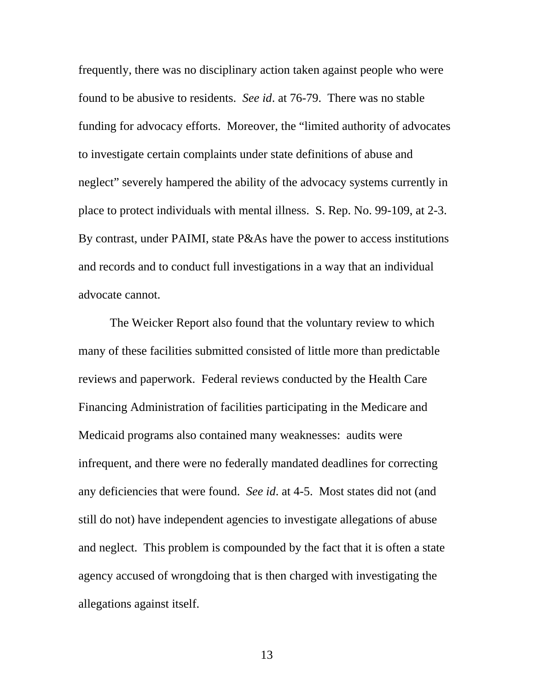frequently, there was no disciplinary action taken against people who were found to be abusive to residents. *See id*. at 76-79. There was no stable funding for advocacy efforts. Moreover, the "limited authority of advocates to investigate certain complaints under state definitions of abuse and neglect" severely hampered the ability of the advocacy systems currently in place to protect individuals with mental illness. S. Rep. No. 99-109, at 2-3. By contrast, under PAIMI, state P&As have the power to access institutions and records and to conduct full investigations in a way that an individual advocate cannot.

The Weicker Report also found that the voluntary review to which many of these facilities submitted consisted of little more than predictable reviews and paperwork. Federal reviews conducted by the Health Care Financing Administration of facilities participating in the Medicare and Medicaid programs also contained many weaknesses: audits were infrequent, and there were no federally mandated deadlines for correcting any deficiencies that were found. *See id*. at 4-5. Most states did not (and still do not) have independent agencies to investigate allegations of abuse and neglect. This problem is compounded by the fact that it is often a state agency accused of wrongdoing that is then charged with investigating the allegations against itself.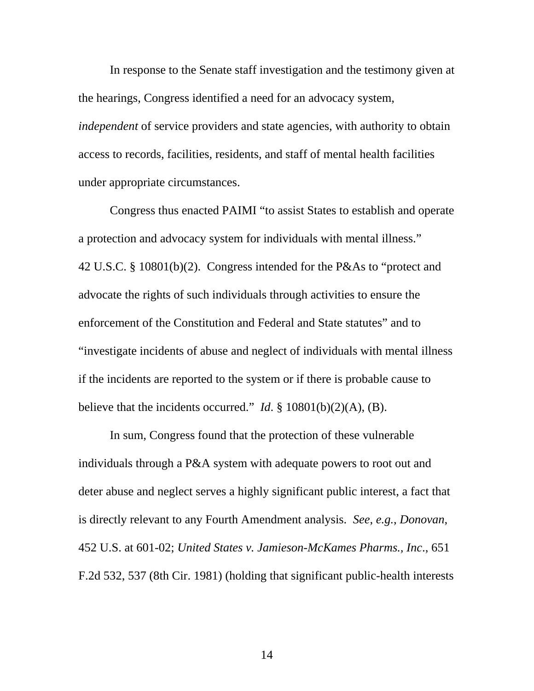In response to the Senate staff investigation and the testimony given at the hearings, Congress identified a need for an advocacy system, *independent* of service providers and state agencies, with authority to obtain access to records, facilities, residents, and staff of mental health facilities under appropriate circumstances.

Congress thus enacted PAIMI "to assist States to establish and operate a protection and advocacy system for individuals with mental illness." 42 U.S.C. § 10801(b)(2). Congress intended for the P&As to "protect and advocate the rights of such individuals through activities to ensure the enforcement of the Constitution and Federal and State statutes" and to "investigate incidents of abuse and neglect of individuals with mental illness if the incidents are reported to the system or if there is probable cause to believe that the incidents occurred." *Id*. § 10801(b)(2)(A), (B).

In sum, Congress found that the protection of these vulnerable individuals through a P&A system with adequate powers to root out and deter abuse and neglect serves a highly significant public interest, a fact that is directly relevant to any Fourth Amendment analysis. *See*, *e.g.*, *Donovan*, 452 U.S. at 601-02; *United States v. Jamieson-McKames Pharms., Inc*., 651 F.2d 532, 537 (8th Cir. 1981) (holding that significant public-health interests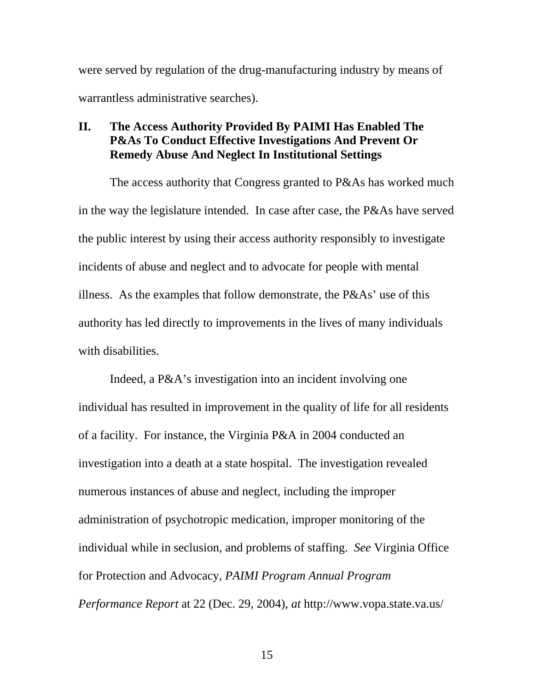were served by regulation of the drug-manufacturing industry by means of warrantless administrative searches).

### **II. The Access Authority Provided By PAIMI Has Enabled The P&As To Conduct Effective Investigations And Prevent Or Remedy Abuse And Neglect In Institutional Settings**

The access authority that Congress granted to P&As has worked much in the way the legislature intended. In case after case, the P&As have served the public interest by using their access authority responsibly to investigate incidents of abuse and neglect and to advocate for people with mental illness. As the examples that follow demonstrate, the P&As' use of this authority has led directly to improvements in the lives of many individuals with disabilities.

Indeed, a P&A's investigation into an incident involving one individual has resulted in improvement in the quality of life for all residents of a facility. For instance, the Virginia P&A in 2004 conducted an investigation into a death at a state hospital. The investigation revealed numerous instances of abuse and neglect, including the improper administration of psychotropic medication, improper monitoring of the individual while in seclusion, and problems of staffing. *See* Virginia Office for Protection and Advocacy, *PAIMI Program Annual Program Performance Report* at 22 (Dec. 29, 2004), *at* http://www.vopa.state.va.us/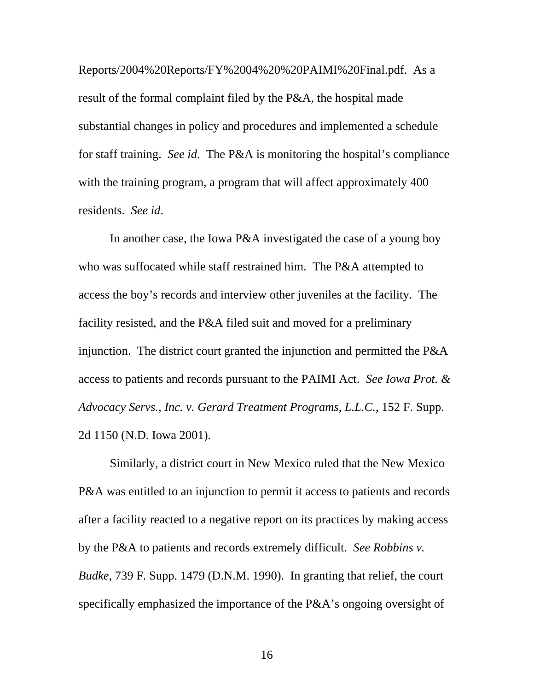Reports/2004%20Reports/FY%2004%20%20PAIMI%20Final.pdf. As a result of the formal complaint filed by the P&A, the hospital made substantial changes in policy and procedures and implemented a schedule for staff training. *See id*. The P&A is monitoring the hospital's compliance with the training program, a program that will affect approximately 400 residents. *See id*.

In another case, the Iowa P&A investigated the case of a young boy who was suffocated while staff restrained him. The P&A attempted to access the boy's records and interview other juveniles at the facility. The facility resisted, and the P&A filed suit and moved for a preliminary injunction. The district court granted the injunction and permitted the P&A access to patients and records pursuant to the PAIMI Act. *See Iowa Prot. & Advocacy Servs., Inc. v. Gerard Treatment Programs, L.L.C.*, 152 F. Supp. 2d 1150 (N.D. Iowa 2001).

Similarly, a district court in New Mexico ruled that the New Mexico P&A was entitled to an injunction to permit it access to patients and records after a facility reacted to a negative report on its practices by making access by the P&A to patients and records extremely difficult. *See Robbins v. Budke*, 739 F. Supp. 1479 (D.N.M. 1990). In granting that relief, the court specifically emphasized the importance of the P&A's ongoing oversight of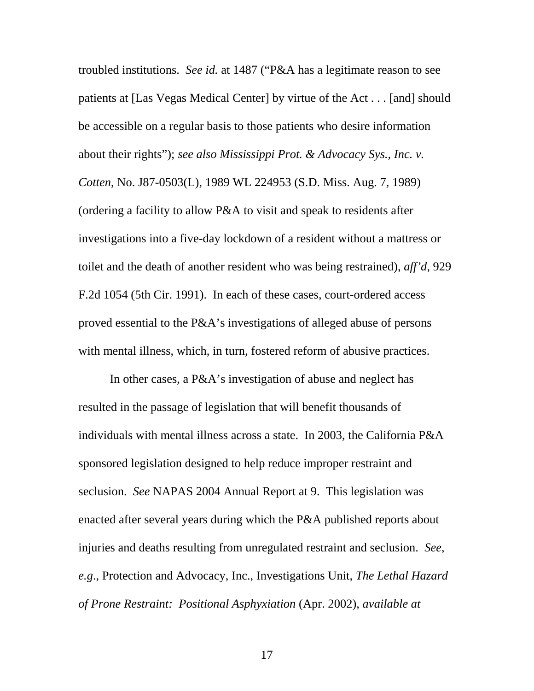troubled institutions. *See id.* at 1487 ("P&A has a legitimate reason to see patients at [Las Vegas Medical Center] by virtue of the Act . . . [and] should be accessible on a regular basis to those patients who desire information about their rights"); *see also Mississippi Prot. & Advocacy Sys., Inc. v. Cotten*, No. J87-0503(L), 1989 WL 224953 (S.D. Miss. Aug. 7, 1989) (ordering a facility to allow P&A to visit and speak to residents after investigations into a five-day lockdown of a resident without a mattress or toilet and the death of another resident who was being restrained), *aff'd*, 929 F.2d 1054 (5th Cir. 1991). In each of these cases, court-ordered access proved essential to the P&A's investigations of alleged abuse of persons with mental illness, which, in turn, fostered reform of abusive practices.

In other cases, a P&A's investigation of abuse and neglect has resulted in the passage of legislation that will benefit thousands of individuals with mental illness across a state. In 2003, the California P&A sponsored legislation designed to help reduce improper restraint and seclusion. *See* NAPAS 2004 Annual Report at 9. This legislation was enacted after several years during which the P&A published reports about injuries and deaths resulting from unregulated restraint and seclusion. *See*, *e.g*., Protection and Advocacy, Inc., Investigations Unit, *The Lethal Hazard of Prone Restraint: Positional Asphyxiation* (Apr. 2002), *available at*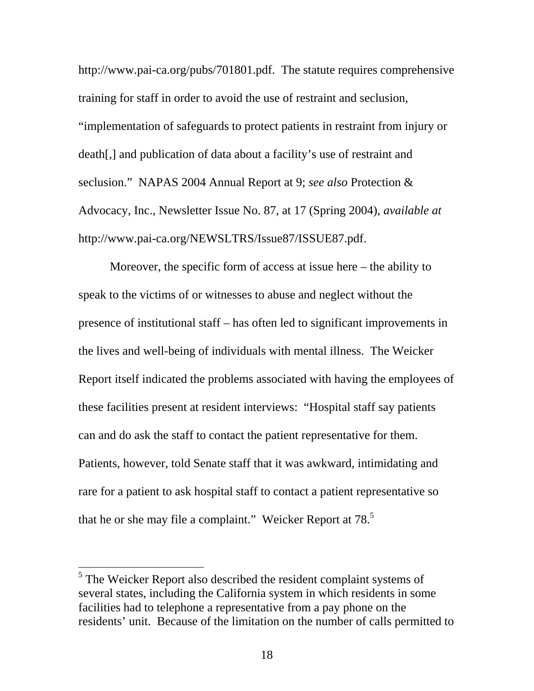http://www.pai-ca.org/pubs/701801.pdf. The statute requires comprehensive training for staff in order to avoid the use of restraint and seclusion, "implementation of safeguards to protect patients in restraint from injury or death[,] and publication of data about a facility's use of restraint and seclusion." NAPAS 2004 Annual Report at 9; *see also* Protection & Advocacy, Inc., Newsletter Issue No. 87, at 17 (Spring 2004), *available at* http://www.pai-ca.org/NEWSLTRS/Issue87/ISSUE87.pdf.

Moreover, the specific form of access at issue here – the ability to speak to the victims of or witnesses to abuse and neglect without the presence of institutional staff – has often led to significant improvements in the lives and well-being of individuals with mental illness. The Weicker Report itself indicated the problems associated with having the employees of these facilities present at resident interviews: "Hospital staff say patients can and do ask the staff to contact the patient representative for them. Patients, however, told Senate staff that it was awkward, intimidating and rare for a patient to ask hospital staff to contact a patient representative so that he or she may file a complaint." Weicker Report at  $78$ .<sup>5</sup>

 $\overline{a}$ 

 $<sup>5</sup>$  The Weicker Report also described the resident complaint systems of</sup> several states, including the California system in which residents in some facilities had to telephone a representative from a pay phone on the residents' unit. Because of the limitation on the number of calls permitted to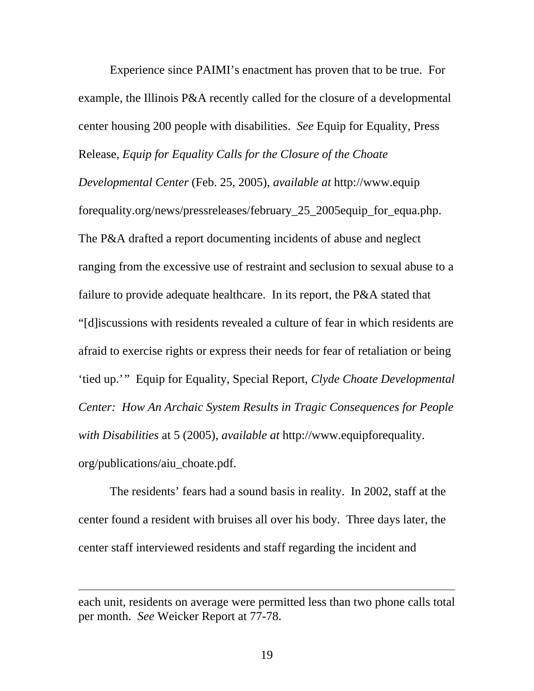Experience since PAIMI's enactment has proven that to be true. For example, the Illinois P&A recently called for the closure of a developmental center housing 200 people with disabilities. *See* Equip for Equality, Press Release, *Equip for Equality Calls for the Closure of the Choate Developmental Center* (Feb. 25, 2005), *available at* http://www.equip forequality.org/news/pressreleases/february\_25\_2005equip\_for\_equa.php. The P&A drafted a report documenting incidents of abuse and neglect ranging from the excessive use of restraint and seclusion to sexual abuse to a failure to provide adequate healthcare. In its report, the P&A stated that "[d]iscussions with residents revealed a culture of fear in which residents are afraid to exercise rights or express their needs for fear of retaliation or being 'tied up.'" Equip for Equality, Special Report, *Clyde Choate Developmental Center: How An Archaic System Results in Tragic Consequences for People with Disabilities* at 5 (2005), *available at* http://www.equipforequality. org/publications/aiu\_choate.pdf.

The residents' fears had a sound basis in reality. In 2002, staff at the center found a resident with bruises all over his body. Three days later, the center staff interviewed residents and staff regarding the incident and

 $\overline{a}$ 

each unit, residents on average were permitted less than two phone calls total per month. *See* Weicker Report at 77-78.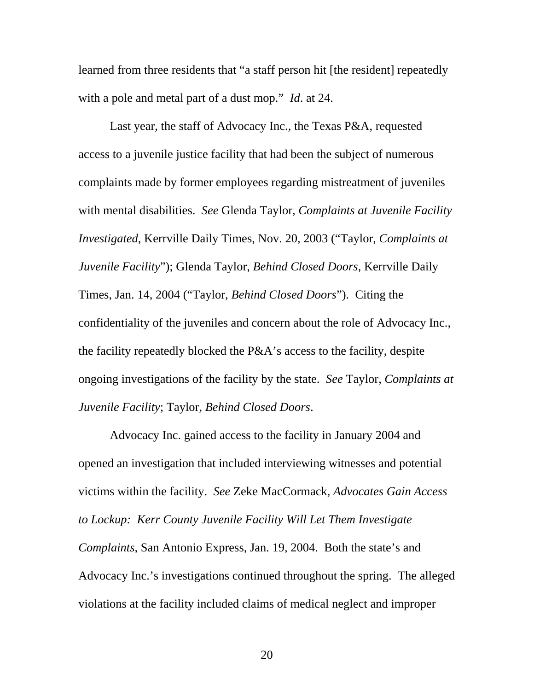learned from three residents that "a staff person hit [the resident] repeatedly with a pole and metal part of a dust mop." *Id*. at 24.

Last year, the staff of Advocacy Inc., the Texas P&A, requested access to a juvenile justice facility that had been the subject of numerous complaints made by former employees regarding mistreatment of juveniles with mental disabilities. *See* Glenda Taylor, *Complaints at Juvenile Facility Investigated*, Kerrville Daily Times, Nov. 20, 2003 ("Taylor, *Complaints at Juvenile Facility*"); Glenda Taylor, *Behind Closed Doors*, Kerrville Daily Times, Jan. 14, 2004 ("Taylor, *Behind Closed Doors*"). Citing the confidentiality of the juveniles and concern about the role of Advocacy Inc., the facility repeatedly blocked the P&A's access to the facility, despite ongoing investigations of the facility by the state. *See* Taylor, *Complaints at Juvenile Facility*; Taylor, *Behind Closed Doors*.

Advocacy Inc. gained access to the facility in January 2004 and opened an investigation that included interviewing witnesses and potential victims within the facility. *See* Zeke MacCormack, *Advocates Gain Access to Lockup: Kerr County Juvenile Facility Will Let Them Investigate Complaints*, San Antonio Express, Jan. 19, 2004. Both the state's and Advocacy Inc.'s investigations continued throughout the spring. The alleged violations at the facility included claims of medical neglect and improper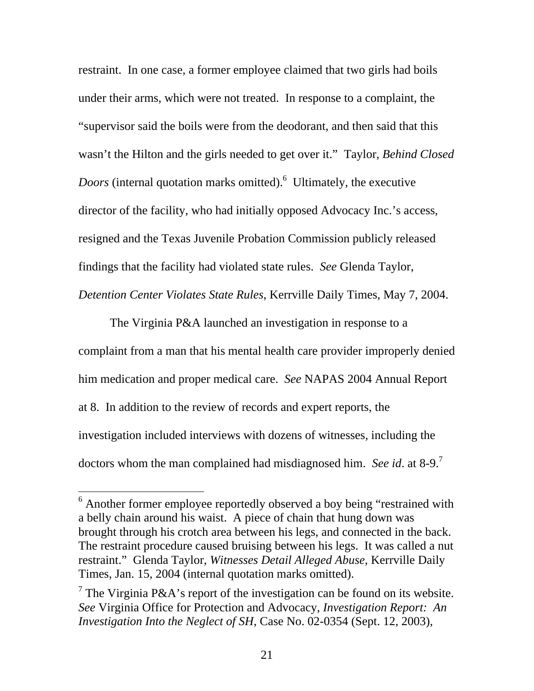restraint. In one case, a former employee claimed that two girls had boils under their arms, which were not treated. In response to a complaint, the "supervisor said the boils were from the deodorant, and then said that this wasn't the Hilton and the girls needed to get over it." Taylor, *Behind Closed Doors* (internal quotation marks omitted).<sup>6</sup> Ultimately, the executive director of the facility, who had initially opposed Advocacy Inc.'s access, resigned and the Texas Juvenile Probation Commission publicly released findings that the facility had violated state rules. *See* Glenda Taylor, *Detention Center Violates State Rules*, Kerrville Daily Times, May 7, 2004.

The Virginia P&A launched an investigation in response to a complaint from a man that his mental health care provider improperly denied him medication and proper medical care. *See* NAPAS 2004 Annual Report at 8. In addition to the review of records and expert reports, the investigation included interviews with dozens of witnesses, including the doctors whom the man complained had misdiagnosed him. *See id*. at 8-9.7

 $\overline{a}$ 

<sup>&</sup>lt;sup>6</sup> Another former employee reportedly observed a boy being "restrained with a belly chain around his waist. A piece of chain that hung down was brought through his crotch area between his legs, and connected in the back. The restraint procedure caused bruising between his legs. It was called a nut restraint." Glenda Taylor, *Witnesses Detail Alleged Abuse*, Kerrville Daily Times, Jan. 15, 2004 (internal quotation marks omitted).

<sup>&</sup>lt;sup>7</sup> The Virginia P&A's report of the investigation can be found on its website. *See* Virginia Office for Protection and Advocacy, *Investigation Report: An Investigation Into the Neglect of SH*, Case No. 02-0354 (Sept. 12, 2003),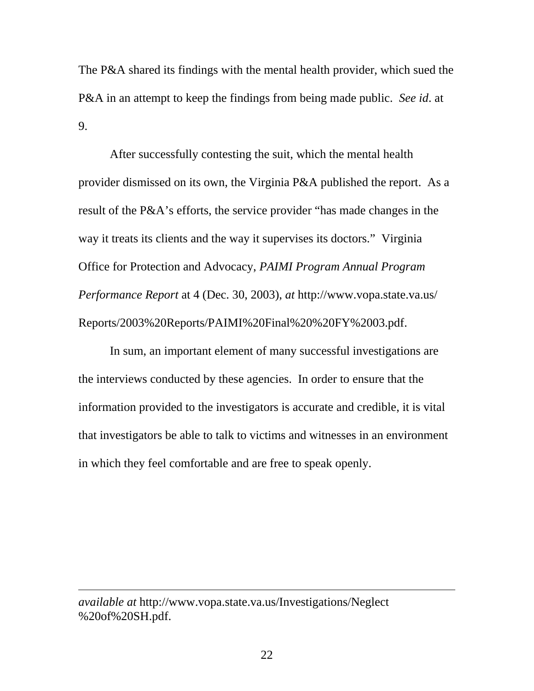The P&A shared its findings with the mental health provider, which sued the P&A in an attempt to keep the findings from being made public. *See id*. at 9.

After successfully contesting the suit, which the mental health provider dismissed on its own, the Virginia P&A published the report. As a result of the P&A's efforts, the service provider "has made changes in the way it treats its clients and the way it supervises its doctors." Virginia Office for Protection and Advocacy, *PAIMI Program Annual Program Performance Report* at 4 (Dec. 30, 2003), *at* http://www.vopa.state.va.us/ Reports/2003%20Reports/PAIMI%20Final%20%20FY%2003.pdf.

In sum, an important element of many successful investigations are the interviews conducted by these agencies. In order to ensure that the information provided to the investigators is accurate and credible, it is vital that investigators be able to talk to victims and witnesses in an environment in which they feel comfortable and are free to speak openly.

 $\overline{a}$ 

*available at* http://www.vopa.state.va.us/Investigations/Neglect %20of%20SH.pdf.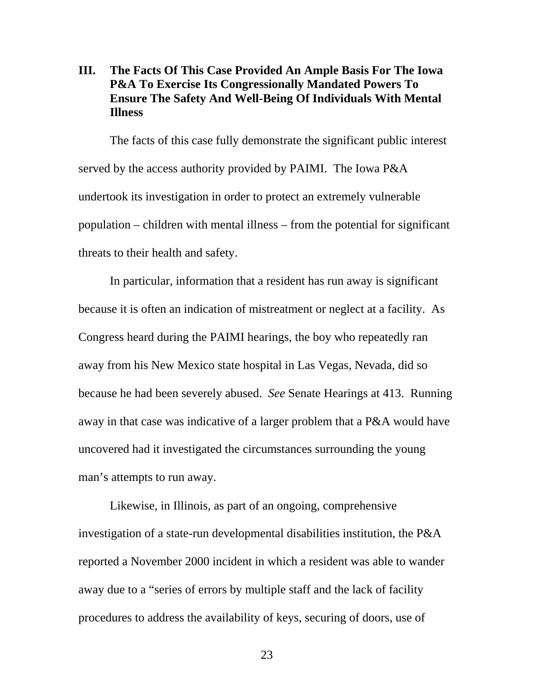### **III. The Facts Of This Case Provided An Ample Basis For The Iowa P&A To Exercise Its Congressionally Mandated Powers To Ensure The Safety And Well-Being Of Individuals With Mental Illness**

The facts of this case fully demonstrate the significant public interest served by the access authority provided by PAIMI. The Iowa P&A undertook its investigation in order to protect an extremely vulnerable population – children with mental illness – from the potential for significant threats to their health and safety.

In particular, information that a resident has run away is significant because it is often an indication of mistreatment or neglect at a facility. As Congress heard during the PAIMI hearings, the boy who repeatedly ran away from his New Mexico state hospital in Las Vegas, Nevada, did so because he had been severely abused. *See* Senate Hearings at 413. Running away in that case was indicative of a larger problem that a P&A would have uncovered had it investigated the circumstances surrounding the young man's attempts to run away.

Likewise, in Illinois, as part of an ongoing, comprehensive investigation of a state-run developmental disabilities institution, the P&A reported a November 2000 incident in which a resident was able to wander away due to a "series of errors by multiple staff and the lack of facility procedures to address the availability of keys, securing of doors, use of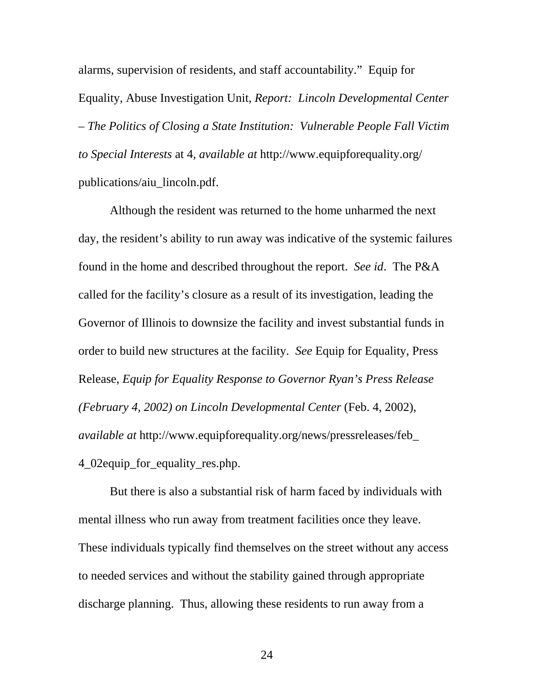alarms, supervision of residents, and staff accountability." Equip for Equality, Abuse Investigation Unit, *Report: Lincoln Developmental Center*  – *The Politics of Closing a State Institution: Vulnerable People Fall Victim to Special Interests* at 4, *available at* http://www.equipforequality.org/ publications/aiu\_lincoln.pdf.

Although the resident was returned to the home unharmed the next day, the resident's ability to run away was indicative of the systemic failures found in the home and described throughout the report. *See id*. The P&A called for the facility's closure as a result of its investigation, leading the Governor of Illinois to downsize the facility and invest substantial funds in order to build new structures at the facility. *See* Equip for Equality, Press Release, *Equip for Equality Response to Governor Ryan's Press Release (February 4, 2002) on Lincoln Developmental Center* (Feb. 4, 2002), *available at* http://www.equipforequality.org/news/pressreleases/feb\_ 4\_02equip\_for\_equality\_res.php.

But there is also a substantial risk of harm faced by individuals with mental illness who run away from treatment facilities once they leave. These individuals typically find themselves on the street without any access to needed services and without the stability gained through appropriate discharge planning. Thus, allowing these residents to run away from a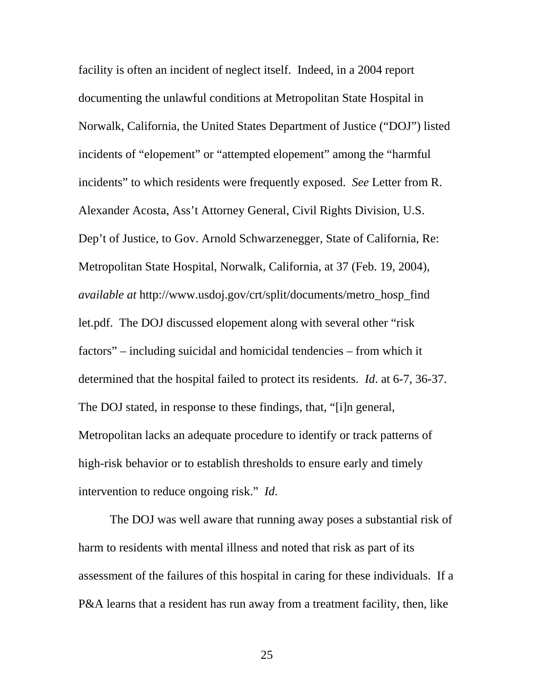facility is often an incident of neglect itself. Indeed, in a 2004 report documenting the unlawful conditions at Metropolitan State Hospital in Norwalk, California, the United States Department of Justice ("DOJ") listed incidents of "elopement" or "attempted elopement" among the "harmful incidents" to which residents were frequently exposed. *See* Letter from R. Alexander Acosta, Ass't Attorney General, Civil Rights Division, U.S. Dep't of Justice, to Gov. Arnold Schwarzenegger, State of California, Re: Metropolitan State Hospital, Norwalk, California, at 37 (Feb. 19, 2004), *available at* http://www.usdoj.gov/crt/split/documents/metro\_hosp\_find let.pdf. The DOJ discussed elopement along with several other "risk factors" – including suicidal and homicidal tendencies – from which it determined that the hospital failed to protect its residents. *Id*. at 6-7, 36-37. The DOJ stated, in response to these findings, that, "[i]n general, Metropolitan lacks an adequate procedure to identify or track patterns of high-risk behavior or to establish thresholds to ensure early and timely intervention to reduce ongoing risk." *Id*.

The DOJ was well aware that running away poses a substantial risk of harm to residents with mental illness and noted that risk as part of its assessment of the failures of this hospital in caring for these individuals. If a P&A learns that a resident has run away from a treatment facility, then, like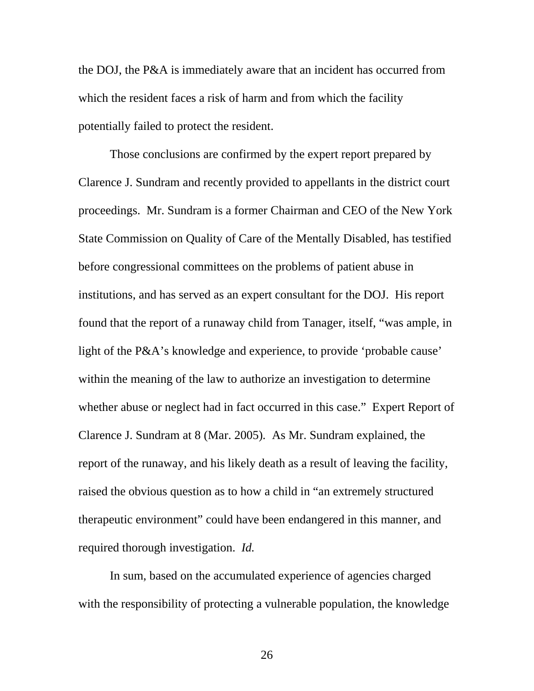the DOJ, the P&A is immediately aware that an incident has occurred from which the resident faces a risk of harm and from which the facility potentially failed to protect the resident.

Those conclusions are confirmed by the expert report prepared by Clarence J. Sundram and recently provided to appellants in the district court proceedings. Mr. Sundram is a former Chairman and CEO of the New York State Commission on Quality of Care of the Mentally Disabled, has testified before congressional committees on the problems of patient abuse in institutions, and has served as an expert consultant for the DOJ. His report found that the report of a runaway child from Tanager, itself, "was ample, in light of the P&A's knowledge and experience, to provide 'probable cause' within the meaning of the law to authorize an investigation to determine whether abuse or neglect had in fact occurred in this case." Expert Report of Clarence J. Sundram at 8 (Mar. 2005)*.* As Mr. Sundram explained, the report of the runaway, and his likely death as a result of leaving the facility, raised the obvious question as to how a child in "an extremely structured therapeutic environment" could have been endangered in this manner, and required thorough investigation. *Id.* 

In sum, based on the accumulated experience of agencies charged with the responsibility of protecting a vulnerable population, the knowledge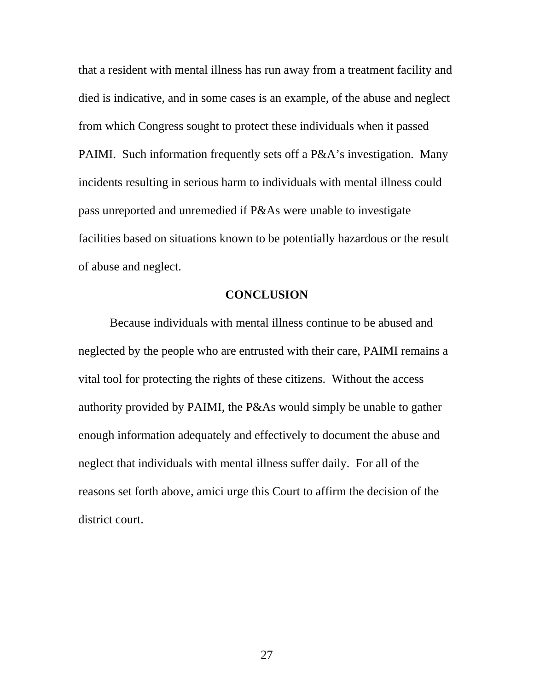that a resident with mental illness has run away from a treatment facility and died is indicative, and in some cases is an example, of the abuse and neglect from which Congress sought to protect these individuals when it passed PAIMI. Such information frequently sets off a P&A's investigation. Many incidents resulting in serious harm to individuals with mental illness could pass unreported and unremedied if P&As were unable to investigate facilities based on situations known to be potentially hazardous or the result of abuse and neglect.

### **CONCLUSION**

Because individuals with mental illness continue to be abused and neglected by the people who are entrusted with their care, PAIMI remains a vital tool for protecting the rights of these citizens. Without the access authority provided by PAIMI, the P&As would simply be unable to gather enough information adequately and effectively to document the abuse and neglect that individuals with mental illness suffer daily. For all of the reasons set forth above, amici urge this Court to affirm the decision of the district court.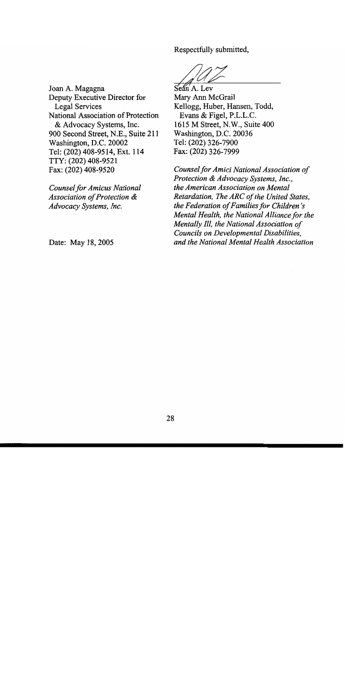Respectfully submitted,

Joan A. Magagna Deputy Executive Director for **Legal Services** National Association of Protection & Advocacy Systems, Inc. 900 Second Street, N.E., Suite 211 Washington, D.C. 20002 Tel: (202) 408-9514, Ext. 114 TTY: (202) 408-9521 Fax: (202) 408-9520

**Counsel for Amicus National** Association of Protection & Advocacy Systems, Inc.

Date: May 18, 2005

Sean A. Lev Mary Ann McGrail Kellogg, Huber, Hansen, Todd, Evans & Figel, P.L.L.C. 1615 M Street, N.W., Suite 400 Washington, D.C. 20036 Tel: (202) 326-7900 Fax: (202) 326-7999

Counsel for Amici National Association of Protection & Advocacy Systems, Inc., the American Association on Mental Retardation, The ARC of the United States, the Federation of Families for Children's Mental Health, the National Alliance for the Mentally Ill, the National Association of Councils on Developmental Disabilities, and the National Mental Health Association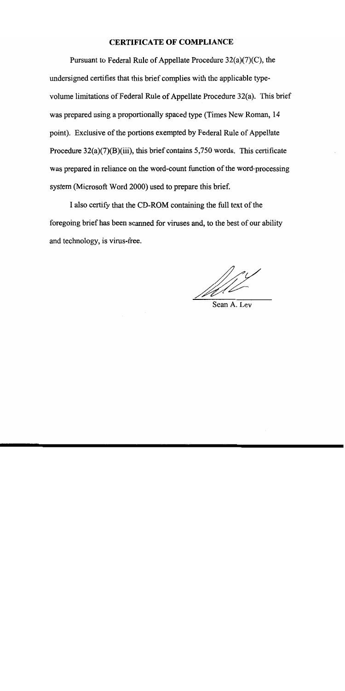#### **CERTIFICATE OF COMPLIANCE**

Pursuant to Federal Rule of Appellate Procedure  $32(a)(7)(C)$ , the undersigned certifies that this brief complies with the applicable typevolume limitations of Federal Rule of Appellate Procedure 32(a). This brief was prepared using a proportionally spaced type (Times New Roman, 14 point). Exclusive of the portions exempted by Federal Rule of Appellate Procedure  $32(a)(7)(B)(iii)$ , this brief contains 5,750 words. This certificate was prepared in reliance on the word-count function of the word-processing system (Microsoft Word 2000) used to prepare this brief.

I also certify that the CD-ROM containing the full text of the foregoing brief has been scanned for viruses and, to the best of our ability and technology, is virus-free.

Mill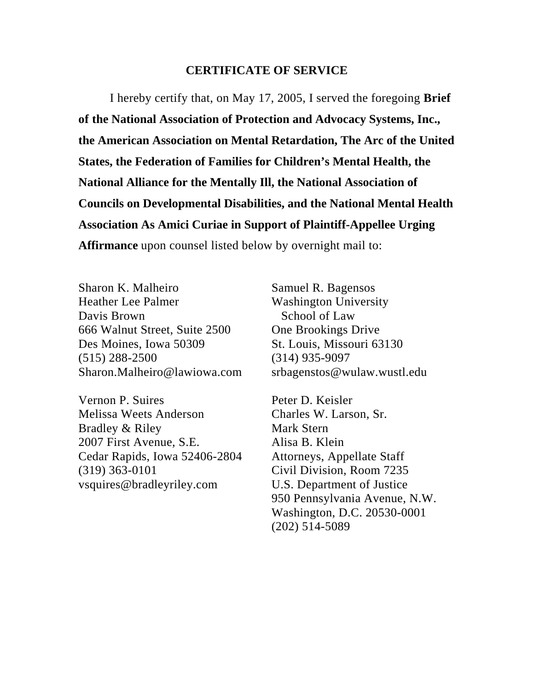#### **CERTIFICATE OF SERVICE**

I hereby certify that, on May 17, 2005, I served the foregoing **Brief of the National Association of Protection and Advocacy Systems, Inc., the American Association on Mental Retardation, The Arc of the United States, the Federation of Families for Children's Mental Health, the National Alliance for the Mentally Ill, the National Association of Councils on Developmental Disabilities, and the National Mental Health Association As Amici Curiae in Support of Plaintiff-Appellee Urging Affirmance** upon counsel listed below by overnight mail to:

Sharon K. Malheiro Heather Lee Palmer Davis Brown 666 Walnut Street, Suite 2500 Des Moines, Iowa 50309 (515) 288-2500 Sharon.Malheiro@lawiowa.com

Vernon P. Suires Melissa Weets Anderson Bradley & Riley 2007 First Avenue, S.E. Cedar Rapids, Iowa 52406-2804 (319) 363-0101 vsquires@bradleyriley.com

Samuel R. Bagensos Washington University School of Law One Brookings Drive St. Louis, Missouri 63130 (314) 935-9097 srbagenstos@wulaw.wustl.edu

Peter D. Keisler Charles W. Larson, Sr. Mark Stern Alisa B. Klein Attorneys, Appellate Staff Civil Division, Room 7235 U.S. Department of Justice 950 Pennsylvania Avenue, N.W. Washington, D.C. 20530-0001 (202) 514-5089